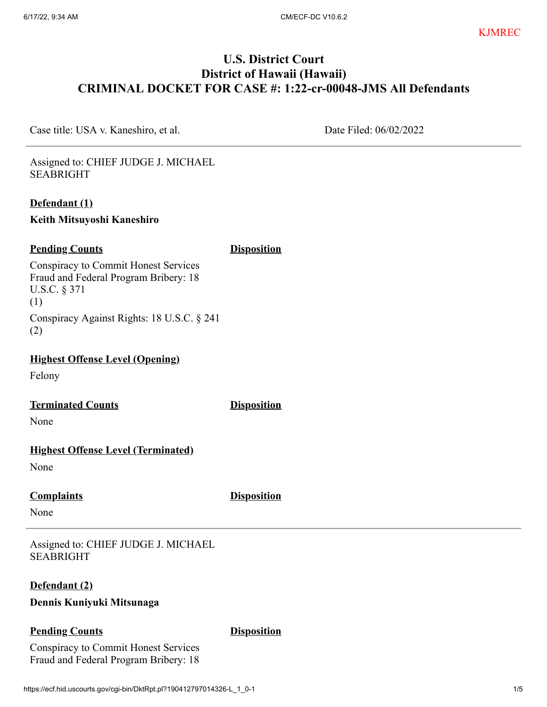# **U.S. District Court District of Hawaii (Hawaii) CRIMINAL DOCKET FOR CASE #: 1:22-cr-00048-JMS All Defendants**

Case title: USA v. Kaneshiro, et al. Date Filed: 06/02/2022

Assigned to: CHIEF JUDGE J. MICHAEL SEABRIGHT

#### **Defendant (1)**

**Keith Mitsuyoshi Kaneshiro**

## **Pending Counts Disposition**

Conspiracy to Commit Honest Services Fraud and Federal Program Bribery: 18 U.S.C. § 371 (1) Conspiracy Against Rights: 18 U.S.C. § 241 (2)

**Highest Offense Level (Opening)**

Felony

**Terminated Counts Disposition** 

None

#### **Highest Offense Level (Terminated)**

None

#### **Complaints Disposition**

None

Assigned to: CHIEF JUDGE J. MICHAEL SEABRIGHT

#### **Defendant (2)**

#### **Dennis Kuniyuki Mitsunaga**

#### **Pending Counts Disposition**

Conspiracy to Commit Honest Services Fraud and Federal Program Bribery: 18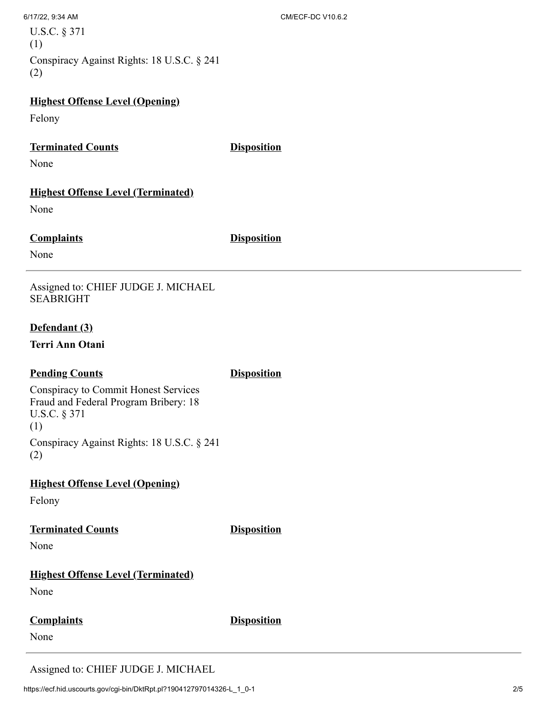U.S.C. § 371 (1) Conspiracy Against Rights: 18 U.S.C. § 241 (2)

#### **Highest Offense Level (Opening)**

Felony

#### **Terminated Counts Disposition**

None

# **Highest Offense Level (Terminated)**

None

# **Complaints Disposition**

None

Assigned to: CHIEF JUDGE J. MICHAEL SEABRIGHT

#### **Defendant (3)**

**Terri Ann Otani**

#### **Pending Counts Disposition**

Conspiracy to Commit Honest Services Fraud and Federal Program Bribery: 18 U.S.C. § 371 (1) Conspiracy Against Rights: 18 U.S.C. § 241 (2)

#### **Highest Offense Level (Opening)**

Felony

# **Terminated Counts Disposition**

None

# **Highest Offense Level (Terminated)**

None

# **Complaints Disposition**

None

Assigned to: CHIEF JUDGE J. MICHAEL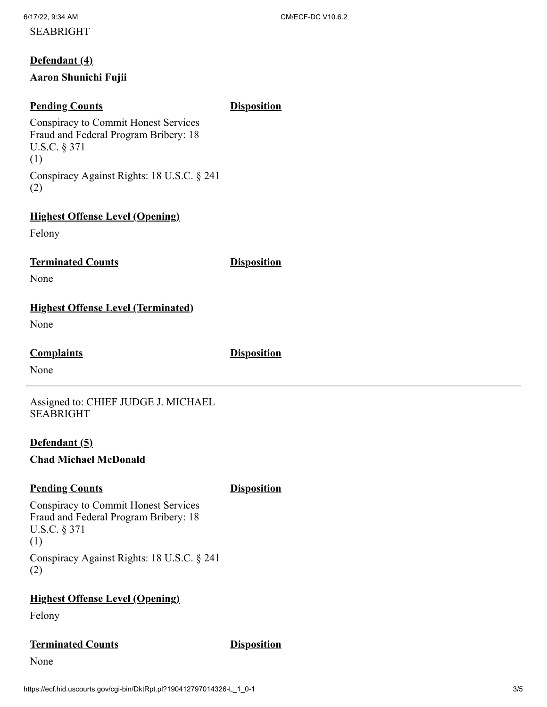# **Defendant (4)**

#### **Aaron Shunichi Fujii**

#### **Pending Counts Disposition**

Conspiracy to Commit Honest Services Fraud and Federal Program Bribery: 18 U.S.C. § 371 (1) Conspiracy Against Rights: 18 U.S.C. § 241 (2)

# **Highest Offense Level (Opening)**

Felony

## **Terminated Counts Disposition**

None

# **Highest Offense Level (Terminated)**

None

#### **Complaints Disposition**

None

Assigned to: CHIEF JUDGE J. MICHAEL SEABRIGHT

#### **Defendant (5)**

#### **Chad Michael McDonald**

# **Pending Counts Disposition**

Conspiracy to Commit Honest Services Fraud and Federal Program Bribery: 18 U.S.C. § 371 (1) Conspiracy Against Rights: 18 U.S.C. § 241 (2)

# **Highest Offense Level (Opening)**

Felony

# **Terminated Counts Disposition**

None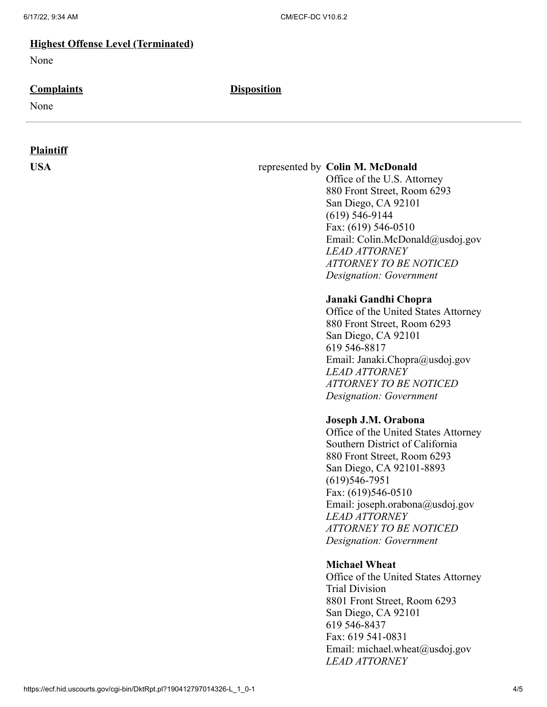#### **Highest Offense Level (Terminated)**

None

#### **Complaints Disposition**

None

#### **Plaintiff**

#### **USA** represented by **Colin M. McDonald**

Office of the U.S. Attorney 880 Front Street, Room 6293 San Diego, CA 92101 (619) 546-9144 Fax: (619) 546-0510 Email: Colin.McDonald@usdoj.gov *LEAD ATTORNEY ATTORNEY TO BE NOTICED Designation: Government*

#### **Janaki Gandhi Chopra**

Office of the United States Attorney 880 Front Street, Room 6293 San Diego, CA 92101 619 546-8817 Email: Janaki.Chopra@usdoj.gov *LEAD ATTORNEY ATTORNEY TO BE NOTICED Designation: Government*

#### **Joseph J.M. Orabona**

Office of the United States Attorney Southern District of California 880 Front Street, Room 6293 San Diego, CA 92101-8893 (619)546-7951 Fax: (619)546-0510 Email: joseph.orabona@usdoj.gov *LEAD ATTORNEY ATTORNEY TO BE NOTICED Designation: Government*

#### **Michael Wheat**

Office of the United States Attorney Trial Division 8801 Front Street, Room 6293 San Diego, CA 92101 619 546-8437 Fax: 619 541-0831 Email: michael.wheat@usdoj.gov *LEAD ATTORNEY*